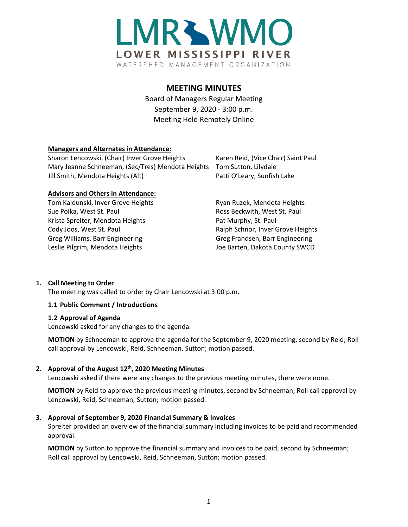

# **MEETING MINUTES**

Board of Managers Regular Meeting September 9, 2020 - 3:00 p.m. Meeting Held Remotely Online

## **Managers and Alternates in Attendance:**

Sharon Lencowski, (Chair) Inver Grove Heights Karen Reid, (Vice Chair) Saint Paul Mary Jeanne Schneeman, (Sec/Tres) Mendota Heights Tom Sutton, Lilydale Jill Smith, Mendota Heights (Alt) Patti O'Leary, Sunfish Lake

#### **Advisors and Others in Attendance:**

Tom Kaldunski, Inver Grove Heights **Ryan Ruzek, Mendota Heights** Ryan Ruzek, Mendota Heights Sue Polka, West St. Paul **Ross Beckwith, West St. Paul** Ross Beckwith, West St. Paul Krista Spreiter, Mendota Heights Pat Murphy, St. Paul Cody Joos, West St. Paul **Ralph Schnor, Inver Grove Heights** Ralph Schnor, Inver Grove Heights Greg Williams, Barr Engineering Greg Greg Frandsen, Barr Engineering Leslie Pilgrim, Mendota Heights **Joe Barten, Dakota County SWCD** 

## **1. Call Meeting to Order**

The meeting was called to order by Chair Lencowski at 3:00 p.m.

#### **1.1 Public Comment / Introductions**

#### **1.2 Approval of Agenda**

Lencowski asked for any changes to the agenda.

**MOTION** by Schneeman to approve the agenda for the September 9, 2020 meeting, second by Reid; Roll call approval by Lencowski, Reid, Schneeman, Sutton; motion passed.

#### **2. Approval of the August 12th, 2020 Meeting Minutes**

Lencowski asked if there were any changes to the previous meeting minutes, there were none.

**MOTION** by Reid to approve the previous meeting minutes, second by Schneeman; Roll call approval by Lencowski, Reid, Schneeman, Sutton; motion passed.

#### **3. Approval of September 9, 2020 Financial Summary & Invoices**

Spreiter provided an overview of the financial summary including invoices to be paid and recommended approval.

**MOTION** by Sutton to approve the financial summary and invoices to be paid, second by Schneeman; Roll call approval by Lencowski, Reid, Schneeman, Sutton; motion passed.